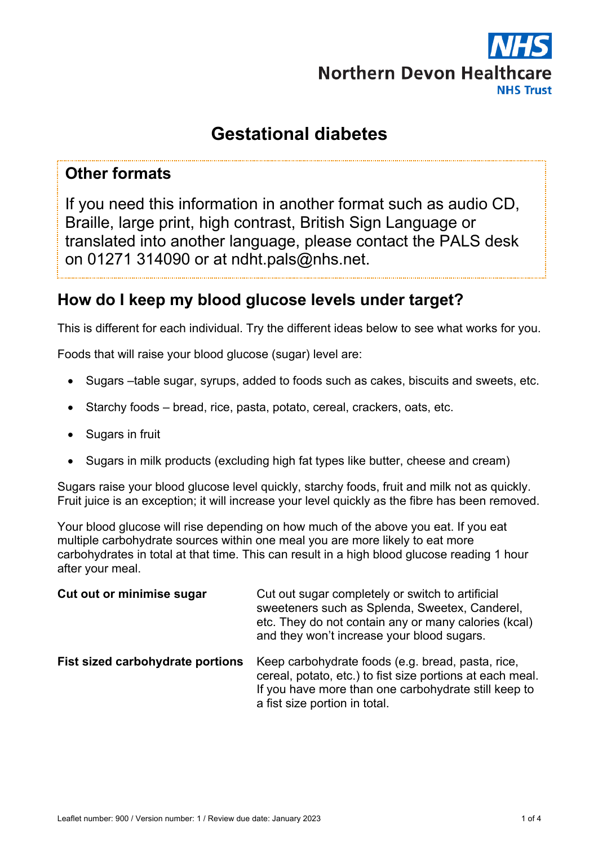

# **Gestational diabetes**

## **Other formats**

If you need this information in another format such as audio CD, Braille, large print, high contrast, British Sign Language or translated into another language, please contact the PALS desk on 01271 314090 or at ndht.pals@nhs.net.

# **How do I keep my blood glucose levels under target?**

This is different for each individual. Try the different ideas below to see what works for you.

Foods that will raise your blood glucose (sugar) level are:

- Sugars –table sugar, syrups, added to foods such as cakes, biscuits and sweets, etc.
- Starchy foods bread, rice, pasta, potato, cereal, crackers, oats, etc.
- Sugars in fruit
- Sugars in milk products (excluding high fat types like butter, cheese and cream)

Sugars raise your blood glucose level quickly, starchy foods, fruit and milk not as quickly. Fruit juice is an exception; it will increase your level quickly as the fibre has been removed.

Your blood glucose will rise depending on how much of the above you eat. If you eat multiple carbohydrate sources within one meal you are more likely to eat more carbohydrates in total at that time. This can result in a high blood glucose reading 1 hour after your meal.

| Cut out or minimise sugar        | Cut out sugar completely or switch to artificial<br>sweeteners such as Splenda, Sweetex, Canderel,<br>etc. They do not contain any or many calories (kcal)<br>and they won't increase your blood sugars. |
|----------------------------------|----------------------------------------------------------------------------------------------------------------------------------------------------------------------------------------------------------|
| Fist sized carbohydrate portions | Keep carbohydrate foods (e.g. bread, pasta, rice,<br>cereal, potato, etc.) to fist size portions at each meal.<br>If you have more than one carbohydrate still keep to<br>a fist size portion in total.  |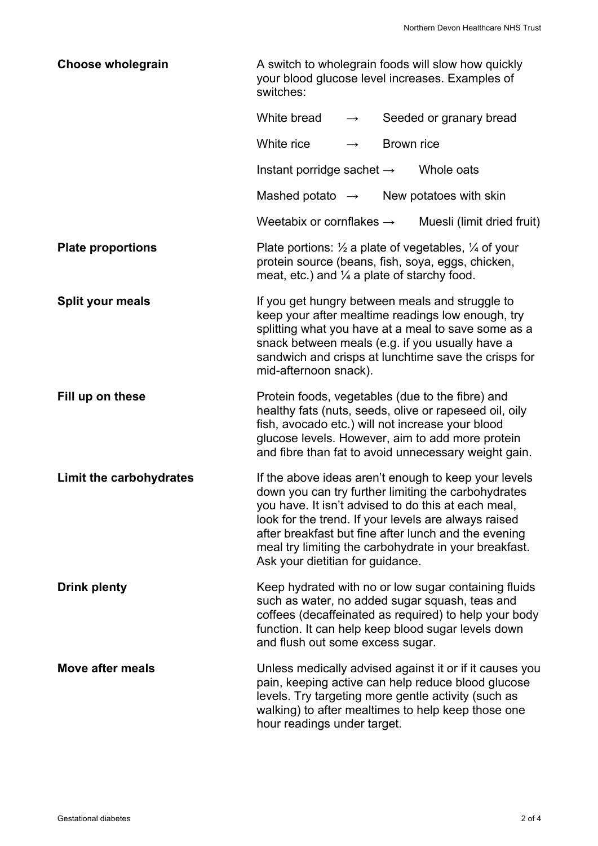| <b>Choose wholegrain</b> | A switch to wholegrain foods will slow how quickly<br>your blood glucose level increases. Examples of<br>switches:                                                                                                                                                                                                                                                              |               |            |                            |
|--------------------------|---------------------------------------------------------------------------------------------------------------------------------------------------------------------------------------------------------------------------------------------------------------------------------------------------------------------------------------------------------------------------------|---------------|------------|----------------------------|
|                          | White bread                                                                                                                                                                                                                                                                                                                                                                     | $\rightarrow$ |            | Seeded or granary bread    |
|                          | White rice                                                                                                                                                                                                                                                                                                                                                                      | $\rightarrow$ | Brown rice |                            |
|                          | Instant porridge sachet $\rightarrow$                                                                                                                                                                                                                                                                                                                                           |               |            | Whole oats                 |
|                          | Mashed potato $\rightarrow$                                                                                                                                                                                                                                                                                                                                                     |               |            | New potatoes with skin     |
|                          | Weetabix or cornflakes $\rightarrow$                                                                                                                                                                                                                                                                                                                                            |               |            | Muesli (limit dried fruit) |
| <b>Plate proportions</b> | Plate portions: $\frac{1}{2}$ a plate of vegetables, $\frac{1}{4}$ of your<br>protein source (beans, fish, soya, eggs, chicken,<br>meat, etc.) and $\frac{1}{4}$ a plate of starchy food.                                                                                                                                                                                       |               |            |                            |
| Split your meals         | If you get hungry between meals and struggle to<br>keep your after mealtime readings low enough, try<br>splitting what you have at a meal to save some as a<br>snack between meals (e.g. if you usually have a<br>sandwich and crisps at lunchtime save the crisps for<br>mid-afternoon snack).                                                                                 |               |            |                            |
| Fill up on these         | Protein foods, vegetables (due to the fibre) and<br>healthy fats (nuts, seeds, olive or rapeseed oil, oily<br>fish, avocado etc.) will not increase your blood<br>glucose levels. However, aim to add more protein<br>and fibre than fat to avoid unnecessary weight gain.                                                                                                      |               |            |                            |
| Limit the carbohydrates  | If the above ideas aren't enough to keep your levels<br>down you can try further limiting the carbohydrates<br>you have. It isn't advised to do this at each meal,<br>look for the trend. If your levels are always raised<br>after breakfast but fine after lunch and the evening<br>meal try limiting the carbohydrate in your breakfast.<br>Ask your dietitian for guidance. |               |            |                            |
| <b>Drink plenty</b>      | Keep hydrated with no or low sugar containing fluids<br>such as water, no added sugar squash, teas and<br>coffees (decaffeinated as required) to help your body<br>function. It can help keep blood sugar levels down<br>and flush out some excess sugar.                                                                                                                       |               |            |                            |
| <b>Move after meals</b>  | Unless medically advised against it or if it causes you<br>pain, keeping active can help reduce blood glucose<br>levels. Try targeting more gentle activity (such as<br>walking) to after mealtimes to help keep those one<br>hour readings under target.                                                                                                                       |               |            |                            |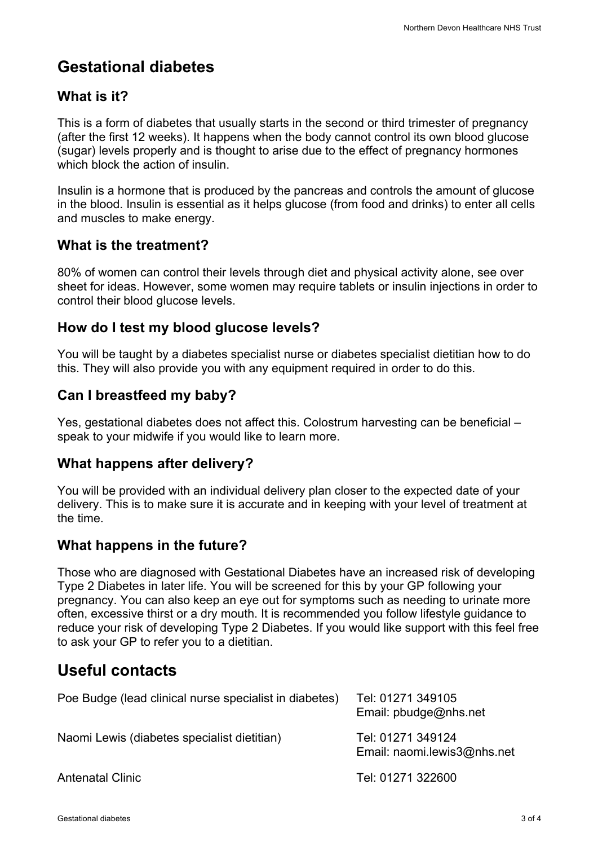# **Gestational diabetes**

## **What is it?**

This is a form of diabetes that usually starts in the second or third trimester of pregnancy (after the first 12 weeks). It happens when the body cannot control its own blood glucose (sugar) levels properly and is thought to arise due to the effect of pregnancy hormones which block the action of insulin.

Insulin is a hormone that is produced by the pancreas and controls the amount of glucose in the blood. Insulin is essential as it helps glucose (from food and drinks) to enter all cells and muscles to make energy.

#### **What is the treatment?**

80% of women can control their levels through diet and physical activity alone, see over sheet for ideas. However, some women may require tablets or insulin injections in order to control their blood glucose levels.

## **How do I test my blood glucose levels?**

You will be taught by a diabetes specialist nurse or diabetes specialist dietitian how to do this. They will also provide you with any equipment required in order to do this.

## **Can I breastfeed my baby?**

Yes, gestational diabetes does not affect this. Colostrum harvesting can be beneficial – speak to your midwife if you would like to learn more.

## **What happens after delivery?**

You will be provided with an individual delivery plan closer to the expected date of your delivery. This is to make sure it is accurate and in keeping with your level of treatment at the time.

## **What happens in the future?**

Those who are diagnosed with Gestational Diabetes have an increased risk of developing Type 2 Diabetes in later life. You will be screened for this by your GP following your pregnancy. You can also keep an eye out for symptoms such as needing to urinate more often, excessive thirst or a dry mouth. It is recommended you follow lifestyle guidance to reduce your risk of developing Type 2 Diabetes. If you would like support with this feel free to ask your GP to refer you to a dietitian.

# **Useful contacts**

| Poe Budge (lead clinical nurse specialist in diabetes) | Tel: 01271 349105<br>Email: $p$ budge@nhs.net    |
|--------------------------------------------------------|--------------------------------------------------|
| Naomi Lewis (diabetes specialist dietitian)            | Tel: 01271 349124<br>Email: naomi.lewis3@nhs.net |
| <b>Antenatal Clinic</b>                                | Tel: 01271 322600                                |